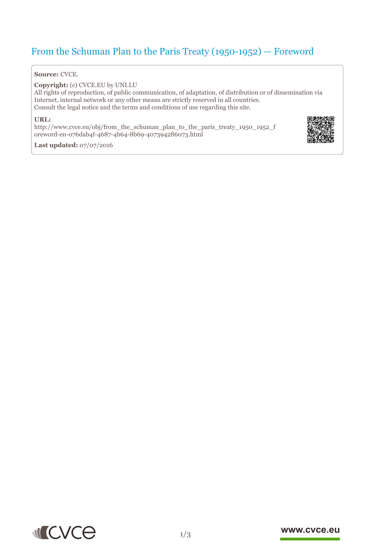# From the Schuman Plan to the Paris Treaty (1950-1952) — Foreword

#### **Source:** CVCE.

**Copyright:** (c) CVCE.EU by UNI.LU

All rights of reproduction, of public communication, of adaptation, of distribution or of dissemination via Internet, internal network or any other means are strictly reserved in all countries. Consult the legal notice and the terms and conditions of use regarding this site.

#### **URL:**

http://www.cvce.eu/obj/from\_the\_schuman\_plan\_to\_the\_paris\_treaty\_1950\_1952\_f ore[word-en-076dab4f-4687-4b64-8b69-407394286073.html](http://www.cvce.eu/obj/from_the_schuman_plan_to_the_paris_treaty_1950_1952_foreword-en-076dab4f-4687-4b64-8b69-407394286073.html)



**Las[t updated:](http://www.cvce.eu/obj/from_the_schuman_plan_to_the_paris_treaty_1950_1952_foreword-en-076dab4f-4687-4b64-8b69-407394286073.html)** 07/07/2016



### www.cvce.eu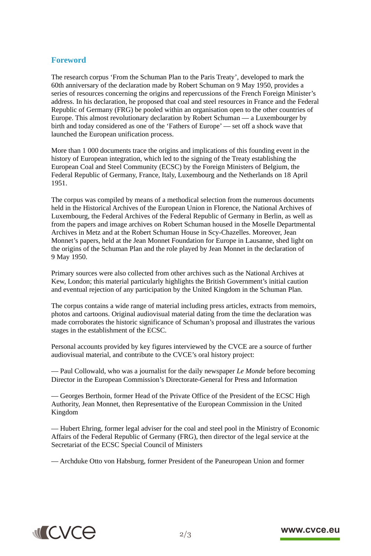## **Foreword**

The research corpus 'From the Schuman Plan to the Paris Treaty', developed to mark the 60th anniversary of the declaration made by Robert Schuman on 9 May 1950, provides a series of resources concerning the origins and repercussions of the French Foreign Minister's address. In his declaration, he proposed that coal and steel resources in France and the Federal Republic of Germany (FRG) be pooled within an organisation open to the other countries of Europe. This almost revolutionary declaration by Robert Schuman — a Luxembourger by birth and today considered as one of the 'Fathers of Europe' — set off a shock wave that launched the European unification process.

More than 1 000 documents trace the origins and implications of this founding event in the history of European integration, which led to the signing of the Treaty establishing the European Coal and Steel Community (ECSC) by the Foreign Ministers of Belgium, the Federal Republic of Germany, France, Italy, Luxembourg and the Netherlands on 18 April 1951.

The corpus was compiled by means of a methodical selection from the numerous documents held in the Historical Archives of the European Union in Florence, the National Archives of Luxembourg, the Federal Archives of the Federal Republic of Germany in Berlin, as well as from the papers and image archives on Robert Schuman housed in the Moselle Departmental Archives in Metz and at the Robert Schuman House in Scy-Chazelles. Moreover, Jean Monnet's papers, held at the Jean Monnet Foundation for Europe in Lausanne, shed light on the origins of the Schuman Plan and the role played by Jean Monnet in the declaration of 9 May 1950.

Primary sources were also collected from other archives such as the National Archives at Kew, London; this material particularly highlights the British Government's initial caution and eventual rejection of any participation by the United Kingdom in the Schuman Plan.

The corpus contains a wide range of material including press articles, extracts from memoirs, photos and cartoons. Original audiovisual material dating from the time the declaration was made corroborates the historic significance of Schuman's proposal and illustrates the various stages in the establishment of the ECSC.

Personal accounts provided by key figures interviewed by the CVCE are a source of further audiovisual material, and contribute to the CVCE's oral history project:

— Paul Collowald, who was a journalist for the daily newspaper *Le Monde* before becoming Director in the European Commission's Directorate-General for Press and Information

— Georges Berthoin, former Head of the Private Office of the President of the ECSC High Authority, Jean Monnet, then Representative of the European Commission in the United Kingdom

— Hubert Ehring, former legal adviser for the coal and steel pool in the Ministry of Economic Affairs of the Federal Republic of Germany (FRG), then director of the legal service at the Secretariat of the ECSC Special Council of Ministers

— Archduke Otto von Habsburg, former President of the Paneuropean Union and former



## www.cvce.eu